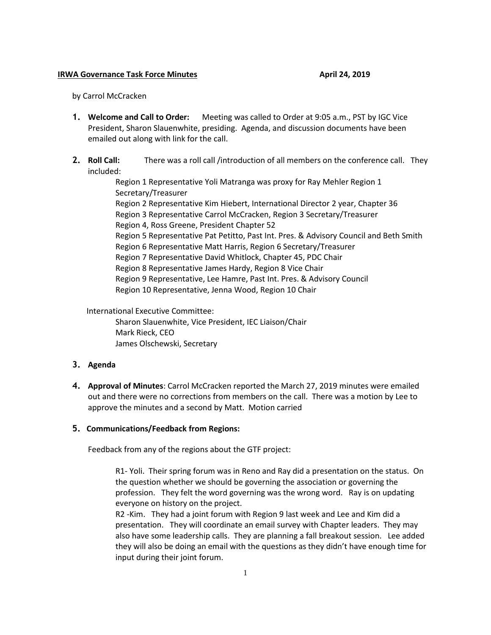## **IRWA Governance Task Force Minutes April 24, 2019**

by Carrol McCracken

- **1. Welcome and Call to Order:** Meeting was called to Order at 9:05 a.m., PST by IGC Vice President, Sharon Slauenwhite, presiding. Agenda, and discussion documents have been emailed out along with link for the call.
- **2. Roll Call:** There was a roll call /introduction of all members on the conference call. They included:

Region 1 Representative Yoli Matranga was proxy for Ray Mehler Region 1 Secretary/Treasurer Region 2 Representative Kim Hiebert, International Director 2 year, Chapter 36 Region 3 Representative Carrol McCracken, Region 3 Secretary/Treasurer Region 4, Ross Greene, President Chapter 52 Region 5 Representative Pat Petitto, Past Int. Pres. & Advisory Council and Beth Smith Region 6 Representative Matt Harris, Region 6 Secretary/Treasurer Region 7 Representative David Whitlock, Chapter 45, PDC Chair Region 8 Representative James Hardy, Region 8 Vice Chair Region 9 Representative, Lee Hamre, Past Int. Pres. & Advisory Council Region 10 Representative, Jenna Wood, Region 10 Chair

International Executive Committee:

Sharon Slauenwhite, Vice President, IEC Liaison/Chair Mark Rieck, CEO James Olschewski, Secretary

## **3. Agenda**

**4. Approval of Minutes**: Carrol McCracken reported the March 27, 2019 minutes were emailed out and there were no corrections from members on the call. There was a motion by Lee to approve the minutes and a second by Matt. Motion carried

## **5. Communications/Feedback from Regions:**

Feedback from any of the regions about the GTF project:

R1- Yoli. Their spring forum was in Reno and Ray did a presentation on the status. On the question whether we should be governing the association or governing the profession. They felt the word governing was the wrong word. Ray is on updating everyone on history on the project.

R2 -Kim. They had a joint forum with Region 9 last week and Lee and Kim did a presentation. They will coordinate an email survey with Chapter leaders. They may also have some leadership calls. They are planning a fall breakout session. Lee added they will also be doing an email with the questions as they didn't have enough time for input during their joint forum.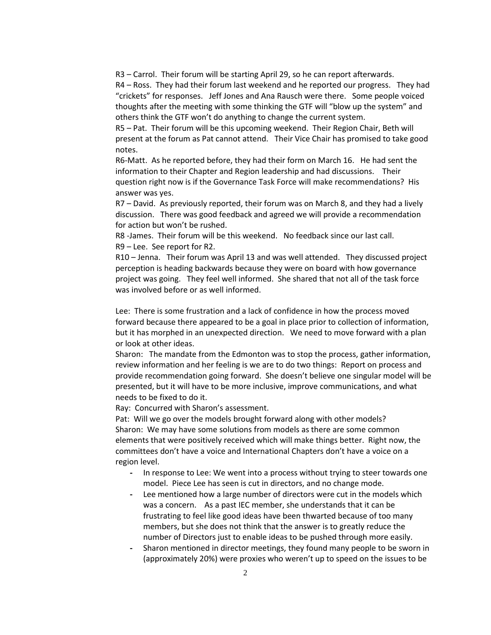R3 – Carrol. Their forum will be starting April 29, so he can report afterwards.

R4 – Ross. They had their forum last weekend and he reported our progress. They had "crickets" for responses. Jeff Jones and Ana Rausch were there. Some people voiced thoughts after the meeting with some thinking the GTF will "blow up the system" and others think the GTF won't do anything to change the current system.

R5 – Pat. Their forum will be this upcoming weekend. Their Region Chair, Beth will present at the forum as Pat cannot attend. Their Vice Chair has promised to take good notes.

R6-Matt. As he reported before, they had their form on March 16. He had sent the information to their Chapter and Region leadership and had discussions. Their question right now is if the Governance Task Force will make recommendations? His answer was yes.

R7 – David. As previously reported, their forum was on March 8, and they had a lively discussion. There was good feedback and agreed we will provide a recommendation for action but won't be rushed.

R8 -James. Their forum will be this weekend. No feedback since our last call. R9 – Lee. See report for R2.

R10 – Jenna. Their forum was April 13 and was well attended. They discussed project perception is heading backwards because they were on board with how governance project was going. They feel well informed. She shared that not all of the task force was involved before or as well informed.

Lee: There is some frustration and a lack of confidence in how the process moved forward because there appeared to be a goal in place prior to collection of information, but it has morphed in an unexpected direction. We need to move forward with a plan or look at other ideas.

Sharon: The mandate from the Edmonton was to stop the process, gather information, review information and her feeling is we are to do two things: Report on process and provide recommendation going forward. She doesn't believe one singular model will be presented, but it will have to be more inclusive, improve communications, and what needs to be fixed to do it.

Ray: Concurred with Sharon's assessment.

Pat: Will we go over the models brought forward along with other models? Sharon: We may have some solutions from models as there are some common elements that were positively received which will make things better. Right now, the committees don't have a voice and International Chapters don't have a voice on a region level.

- **-** In response to Lee: We went into a process without trying to steer towards one model. Piece Lee has seen is cut in directors, and no change mode.
- **-** Lee mentioned how a large number of directors were cut in the models which was a concern. As a past IEC member, she understands that it can be frustrating to feel like good ideas have been thwarted because of too many members, but she does not think that the answer is to greatly reduce the number of Directors just to enable ideas to be pushed through more easily.
- **-** Sharon mentioned in director meetings, they found many people to be sworn in (approximately 20%) were proxies who weren't up to speed on the issues to be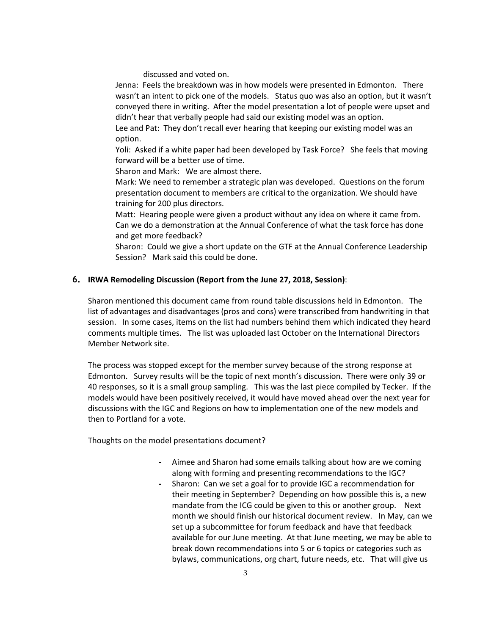discussed and voted on.

Jenna: Feels the breakdown was in how models were presented in Edmonton. There wasn't an intent to pick one of the models. Status quo was also an option, but it wasn't conveyed there in writing. After the model presentation a lot of people were upset and didn't hear that verbally people had said our existing model was an option.

Lee and Pat: They don't recall ever hearing that keeping our existing model was an option.

Yoli: Asked if a white paper had been developed by Task Force? She feels that moving forward will be a better use of time.

Sharon and Mark: We are almost there.

Mark: We need to remember a strategic plan was developed. Questions on the forum presentation document to members are critical to the organization. We should have training for 200 plus directors.

Matt: Hearing people were given a product without any idea on where it came from. Can we do a demonstration at the Annual Conference of what the task force has done and get more feedback?

Sharon: Could we give a short update on the GTF at the Annual Conference Leadership Session? Mark said this could be done.

## **6. IRWA Remodeling Discussion (Report from the June 27, 2018, Session)**:

Sharon mentioned this document came from round table discussions held in Edmonton. The list of advantages and disadvantages (pros and cons) were transcribed from handwriting in that session. In some cases, items on the list had numbers behind them which indicated they heard comments multiple times. The list was uploaded last October on the International Directors Member Network site.

The process was stopped except for the member survey because of the strong response at Edmonton. Survey results will be the topic of next month's discussion. There were only 39 or 40 responses, so it is a small group sampling. This was the last piece compiled by Tecker. If the models would have been positively received, it would have moved ahead over the next year for discussions with the IGC and Regions on how to implementation one of the new models and then to Portland for a vote.

Thoughts on the model presentations document?

- **-** Aimee and Sharon had some emails talking about how are we coming along with forming and presenting recommendations to the IGC?
- **-** Sharon: Can we set a goal for to provide IGC a recommendation for their meeting in September? Depending on how possible this is, a new mandate from the ICG could be given to this or another group. Next month we should finish our historical document review. In May, can we set up a subcommittee for forum feedback and have that feedback available for our June meeting. At that June meeting, we may be able to break down recommendations into 5 or 6 topics or categories such as bylaws, communications, org chart, future needs, etc. That will give us